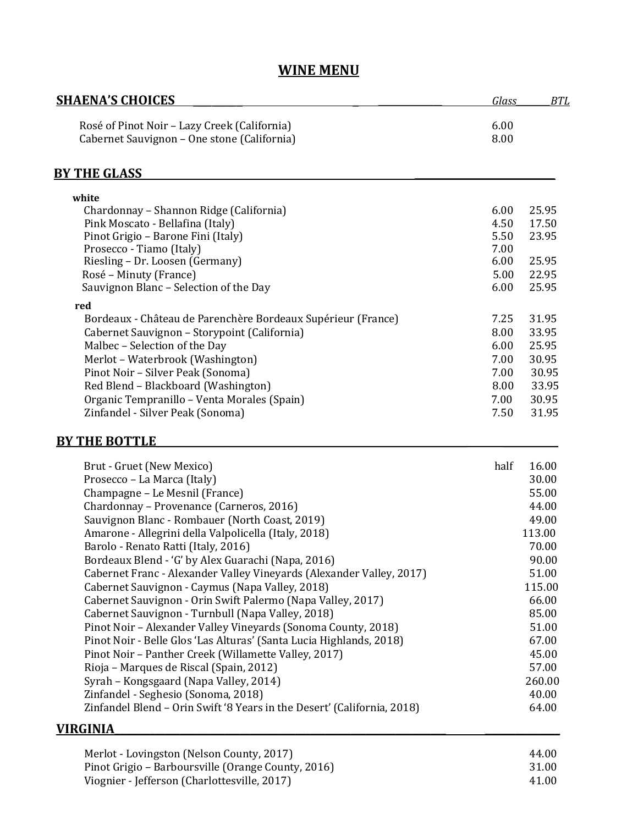# **WINE MENU**

| <b>SHAENA'S CHOICES</b>                                                                     | Glass        | <b>BTL</b> |
|---------------------------------------------------------------------------------------------|--------------|------------|
| Rosé of Pinot Noir - Lazy Creek (California)<br>Cabernet Sauvignon - One stone (California) | 6.00<br>8.00 |            |
| <b>BY THE GLASS</b>                                                                         |              |            |
| white                                                                                       |              |            |
| Chardonnay - Shannon Ridge (California)                                                     | 6.00         | 25.95      |
| Pink Moscato - Bellafina (Italy)                                                            | 4.50         | 17.50      |
| Pinot Grigio - Barone Fini (Italy)                                                          | 5.50         | 23.95      |
| Prosecco - Tiamo (Italy)                                                                    | 7.00         |            |
| Riesling - Dr. Loosen (Germany)                                                             | 6.00         | 25.95      |
| Rosé – Minuty (France)                                                                      | 5.00         | 22.95      |
| Sauvignon Blanc - Selection of the Day                                                      | 6.00         | 25.95      |
| red                                                                                         |              |            |
| Bordeaux - Château de Parenchère Bordeaux Supérieur (France)                                | 7.25         | 31.95      |
| Cabernet Sauvignon - Storypoint (California)                                                | 8.00         | 33.95      |
| Malbec - Selection of the Day                                                               | 6.00         | 25.95      |
| Merlot - Waterbrook (Washington)                                                            | 7.00         | 30.95      |
| Pinot Noir - Silver Peak (Sonoma)                                                           | 7.00         | 30.95      |
| Red Blend - Blackboard (Washington)                                                         | 8.00         | 33.95      |
| Organic Tempranillo - Venta Morales (Spain)                                                 | 7.00         | 30.95      |
| Zinfandel - Silver Peak (Sonoma)                                                            | 7.50         | 31.95      |
| <b>BY THE BOTTLE</b>                                                                        |              |            |
| Brut - Gruet (New Mexico)                                                                   | half         | 16.00      |
| Prosecco - La Marca (Italy)                                                                 |              | 30.00      |
|                                                                                             |              |            |

| Prosecco – La Marca (Italy)                                             | 30.00  |
|-------------------------------------------------------------------------|--------|
| Champagne – Le Mesnil (France)                                          | 55.00  |
| Chardonnay - Provenance (Carneros, 2016)                                | 44.00  |
| Sauvignon Blanc - Rombauer (North Coast, 2019)                          | 49.00  |
| Amarone - Allegrini della Valpolicella (Italy, 2018)                    | 113.00 |
| Barolo - Renato Ratti (Italy, 2016)                                     | 70.00  |
| Bordeaux Blend - 'G' by Alex Guarachi (Napa, 2016)                      | 90.00  |
| Cabernet Franc - Alexander Valley Vineyards (Alexander Valley, 2017)    | 51.00  |
| Cabernet Sauvignon - Caymus (Napa Valley, 2018)                         | 115.00 |
| Cabernet Sauvignon - Orin Swift Palermo (Napa Valley, 2017)             | 66.00  |
| Cabernet Sauvignon - Turnbull (Napa Valley, 2018)                       | 85.00  |
| Pinot Noir - Alexander Valley Vineyards (Sonoma County, 2018)           | 51.00  |
| Pinot Noir - Belle Glos 'Las Alturas' (Santa Lucia Highlands, 2018)     | 67.00  |
| Pinot Noir - Panther Creek (Willamette Valley, 2017)                    | 45.00  |
| Rioja – Marques de Riscal (Spain, 2012)                                 | 57.00  |
| Syrah – Kongsgaard (Napa Valley, 2014)                                  | 260.00 |
| Zinfandel - Seghesio (Sonoma, 2018)                                     | 40.00  |
| Zinfandel Blend - Orin Swift '8 Years in the Desert' (California, 2018) | 64.00  |
|                                                                         |        |

### **VIRGINIA\_\_\_\_\_\_\_\_\_\_\_\_\_\_\_\_\_\_\_\_\_\_\_\_\_\_\_\_\_\_\_\_\_\_\_\_\_\_\_\_\_\_\_\_\_\_\_\_\_\_\_\_\_\_\_\_\_\_\_\_\_\_\_\_\_\_ \_\_\_\_\_\_\_\_\_\_\_\_\_\_\_**

| Merlot - Lovingston (Nelson County, 2017)          | 44.00 |
|----------------------------------------------------|-------|
| Pinot Grigio – Barboursville (Orange County, 2016) | 31.00 |
| Viognier - Jefferson (Charlottesville, 2017)       | 41.00 |